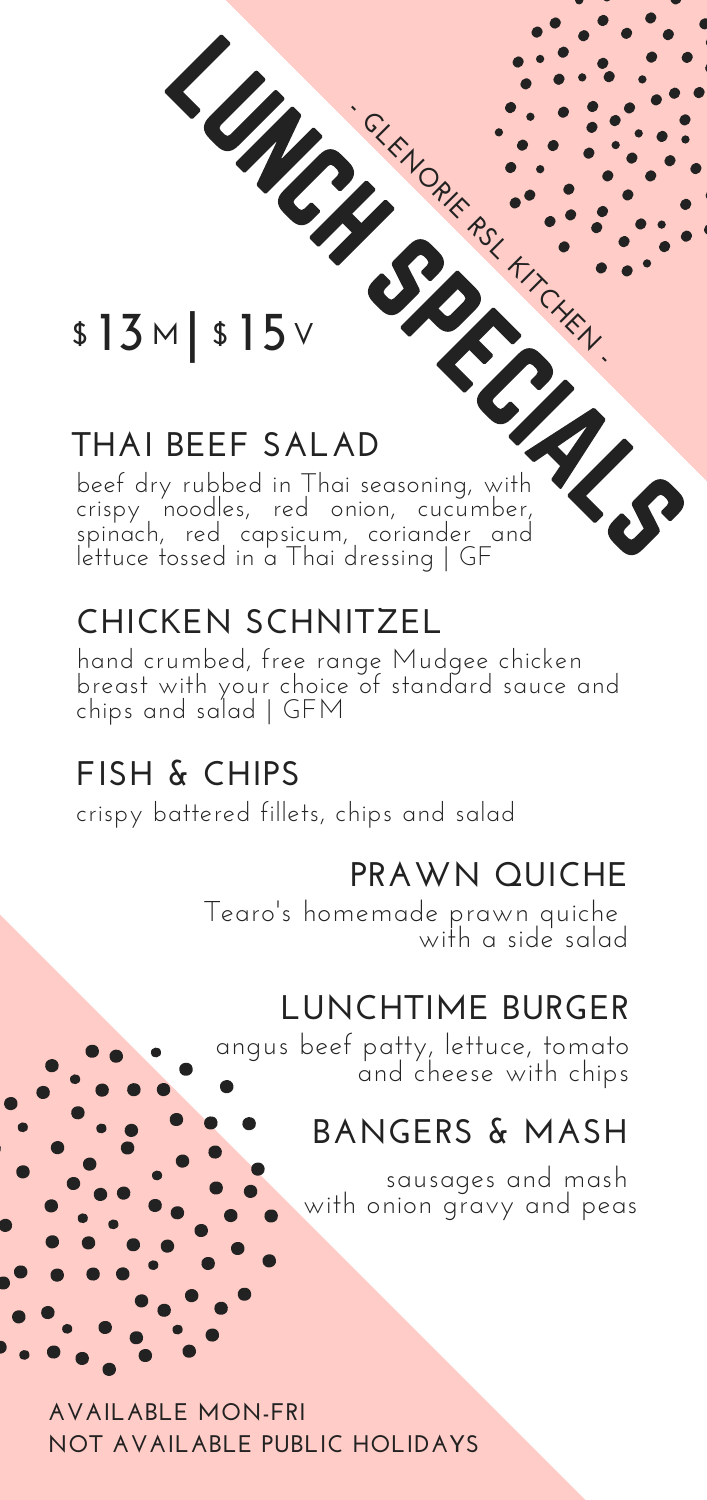### **\$ 13 <sup>M</sup> | \$ 15 <sup>V</sup>**

### **THAI BEEF SALAD**

LUNCH SPECIALS beef dry rubbed in Thai seasoning, with crispy noodles, red onion, cucumber, spinach, red capsicum, coriander and lettuce tossed in a Thai dressing | GF

### **CHICKEN SCHNITZEL**

hand crumbed, free range Mudgee chicken breast with your choice of standard sauce and chips and salad | GFM

#### **FISH & CHIPS**

crispy battered fillets, chips and salad

#### **PRAWN QUICHE**

**GLENORIE RSL FITCHEN** 

Tearo's homemade prawn quiche with a side salad

### **LUNCHTIME BURGER**

angus beef patty, lettuce, tomato and cheese with chips

### **BANGERS & MASH**

sausages and mash with onion gravy and peas

**AVAILABLE MON-FRI NOT AVAILABLE PUBLIC HOLIDAYS**